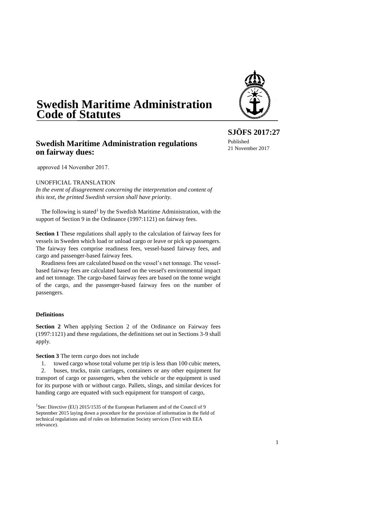# **Swedish Maritime Administration Code of Statutes**

# **Swedish Maritime Administration regulations on fairway dues:**

approved 14 November 2017.

UNOFFICIAL TRANSLATION

*In the event of disagreement concerning the interpretation and content of this text, the printed Swedish version shall have priority.*

The following is stated<sup>1</sup> by the Swedish Maritime Administration, with the support of Section 9 in the Ordinance (1997:1121) on fairway fees.

**Section 1** These regulations shall apply to the calculation of fairway fees for vessels in Sweden which load or unload cargo or leave or pick up passengers. The fairway fees comprise readiness fees, vessel-based fairway fees, and cargo and passenger-based fairway fees.

Readiness fees are calculated based on the vessel's net tonnage. The vesselbased fairway fees are calculated based on the vessel's environmental impact and net tonnage. The cargo-based fairway fees are based on the tonne weight of the cargo, and the passenger-based fairway fees on the number of passengers.

#### **Definitions**

**Section 2** When applying Section 2 of the Ordinance on Fairway fees (1997:1121) and these regulations, the definitions set out in Sections 3-9 shall apply.

**Section 3** The term *cargo* does not include

1. towed cargo whose total volume per trip is less than 100 cubic meters, 2. buses, trucks, train carriages, containers or any other equipment for transport of cargo or passengers, when the vehicle or the equipment is used for its purpose with or without cargo. Pallets, slings, and similar devices for handing cargo are equated with such equipment for transport of cargo,

**SJÖFS 2017:27** Published 21 November 2017



<sup>&</sup>lt;sup>1</sup>See: Directive (EU) 2015/1535 of the European Parliament and of the Council of 9 September 2015 laying down a procedure for the provision of information in the field of technical regulations and of rules on Information Society services (Text with EEA relevance).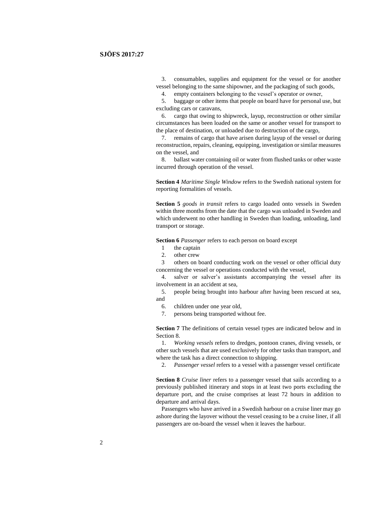3. consumables, supplies and equipment for the vessel or for another vessel belonging to the same shipowner, and the packaging of such goods,

4. empty containers belonging to the vessel's operator or owner,

5. baggage or other items that people on board have for personal use, but excluding cars or caravans,

6. cargo that owing to shipwreck, layup, reconstruction or other similar circumstances has been loaded on the same or another vessel for transport to the place of destination, or unloaded due to destruction of the cargo,

7. remains of cargo that have arisen during layup of the vessel or during reconstruction, repairs, cleaning, equipping, investigation or similar measures on the vessel, and

8. ballast water containing oil or water from flushed tanks or other waste incurred through operation of the vessel.

**Section 4** *Maritime Single Window* refers to the Swedish national system for reporting formalities of vessels.

**Section 5** *goods in transit* refers to cargo loaded onto vessels in Sweden within three months from the date that the cargo was unloaded in Sweden and which underwent no other handling in Sweden than loading, unloading, land transport or storage.

**Section 6** *Passenger* refers to each person on board except

- 1 the captain
- 2. other crew

3 others on board conducting work on the vessel or other official duty concerning the vessel or operations conducted with the vessel,

4. salver or salver's assistants accompanying the vessel after its involvement in an accident at sea,

5. people being brought into harbour after having been rescued at sea, and

- 6. children under one year old,
- 7. persons being transported without fee.

**Section 7** The definitions of certain vessel types are indicated below and in Section 8.

1. *Working vessels* refers to dredges, pontoon cranes, diving vessels, or other such vessels that are used exclusively for other tasks than transport, and where the task has a direct connection to shipping.

2. *Passenger vessel* refers to a vessel with a passenger vessel certificate

**Section 8** *Cruise liner* refers to a passenger vessel that sails according to a previously published itinerary and stops in at least two ports excluding the departure port, and the cruise comprises at least 72 hours in addition to departure and arrival days.

Passengers who have arrived in a Swedish harbour on a cruise liner may go ashore during the layover without the vessel ceasing to be a cruise liner, if all passengers are on-board the vessel when it leaves the harbour.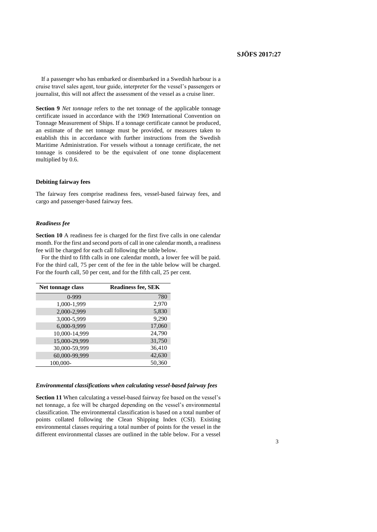If a passenger who has embarked or disembarked in a Swedish harbour is a cruise travel sales agent, tour guide, interpreter for the vessel's passengers or journalist, this will not affect the assessment of the vessel as a cruise liner.

**Section 9** *Net tonnage* refers to the net tonnage of the applicable tonnage certificate issued in accordance with the 1969 International Convention on Tonnage Measurement of Ships. If a tonnage certificate cannot be produced, an estimate of the net tonnage must be provided, or measures taken to establish this in accordance with further instructions from the Swedish Maritime Administration. For vessels without a tonnage certificate, the net tonnage is considered to be the equivalent of one tonne displacement multiplied by 0.6.

#### **Debiting fairway fees**

The fairway fees comprise readiness fees, vessel-based fairway fees, and cargo and passenger-based fairway fees.

#### *Readiness fee*

**Section 10** A readiness fee is charged for the first five calls in one calendar month. For the first and second ports of call in one calendar month, a readiness fee will be charged for each call following the table below.

For the third to fifth calls in one calendar month, a lower fee will be paid. For the third call, 75 per cent of the fee in the table below will be charged. For the fourth call, 50 per cent, and for the fifth call, 25 per cent.

| Net tonnage class | <b>Readiness fee, SEK</b> |
|-------------------|---------------------------|
| $0-999$           | 780                       |
| 1,000-1,999       | 2,970                     |
| 2,000-2,999       | 5,830                     |
| 3,000-5,999       | 9,290                     |
| 6,000-9,999       | 17,060                    |
| 10,000-14,999     | 24,790                    |
| 15,000-29,999     | 31,750                    |
| 30,000-59,999     | 36,410                    |
| 60,000-99,999     | 42,630                    |
| 100,000-          | 50,360                    |

#### *Environmental classifications when calculating vessel-based fairway fees*

**Section 11** When calculating a vessel-based fairway fee based on the vessel's net tonnage, a fee will be charged depending on the vessel's environmental classification. The environmental classification is based on a total number of points collated following the Clean Shipping Index (CSI). Existing environmental classes requiring a total number of points for the vessel in the different environmental classes are outlined in the table below. For a vessel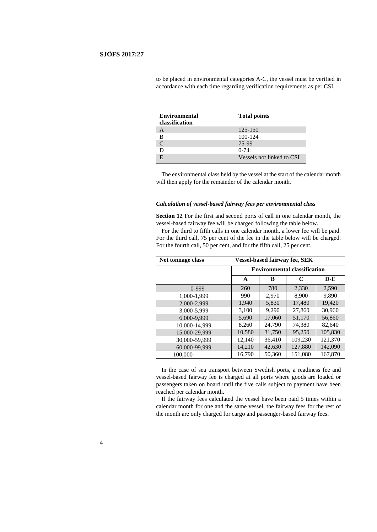| <b>Environmental</b> | <b>Total points</b>       |
|----------------------|---------------------------|
| classification       |                           |
|                      | 125-150                   |
| в                    | 100-124                   |
| $\mathsf{C}$         | 75-99                     |
|                      | $0 - 74$                  |
|                      | Vessels not linked to CSI |

to be placed in environmental categories A-C, the vessel must be verified in accordance with each time regarding verification requirements as per CSI.

The environmental class held by the vessel at the start of the calendar month will then apply for the remainder of the calendar month.

#### *Calculation of vessel-based fairway fees per environmental class*

**Section 12** For the first and second ports of call in one calendar month, the vessel-based fairway fee will be charged following the table below.

For the third to fifth calls in one calendar month, a lower fee will be paid. For the third call, 75 per cent of the fee in the table below will be charged. For the fourth call, 50 per cent, and for the fifth call, 25 per cent.

| Net tonnage class | <b>Vessel-based fairway fee, SEK</b> |        |         |         |
|-------------------|--------------------------------------|--------|---------|---------|
|                   | <b>Environmental classification</b>  |        |         |         |
|                   | A                                    | в      | C       | $D-E$   |
| $0-999$           | 260                                  | 780    | 2,330   | 2,590   |
| 1,000-1,999       | 990                                  | 2,970  | 8,900   | 9,890   |
| 2,000-2,999       | 1,940                                | 5,830  | 17,480  | 19,420  |
| 3.000-5.999       | 3.100                                | 9.290  | 27,860  | 30.960  |
| 6,000-9,999       | 5,690                                | 17,060 | 51,170  | 56,860  |
| 10,000-14,999     | 8,260                                | 24,790 | 74,380  | 82,640  |
| 15.000-29.999     | 10,580                               | 31,750 | 95,250  | 105,830 |
| 30,000-59,999     | 12,140                               | 36,410 | 109,230 | 121,370 |
| 60,000-99,999     | 14,210                               | 42,630 | 127,880 | 142,090 |
| 100,000-          | 16,790                               | 50,360 | 151,080 | 167,870 |

In the case of sea transport between Swedish ports, a readiness fee and vessel-based fairway fee is charged at all ports where goods are loaded or passengers taken on board until the five calls subject to payment have been reached per calendar month.

If the fairway fees calculated the vessel have been paid 5 times within a calendar month for one and the same vessel, the fairway fees for the rest of the month are only charged for cargo and passenger-based fairway fees.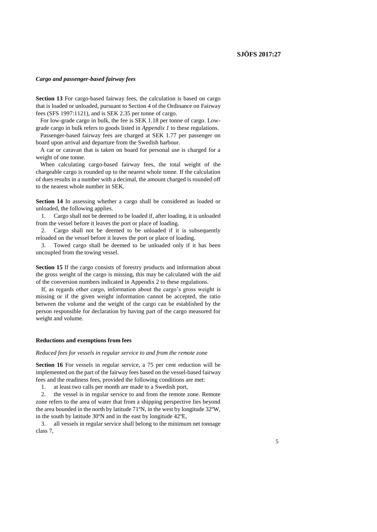#### *Cargo and passenger-based fairway fees*

**Section 13** For cargo-based fairway fees, the calculation is based on cargo that is loaded or unloaded, pursuant to Section 4 of the Ordinance on Fairway fees (SFS 1997:1121), and is SEK 2.35 per tonne of cargo.

For low-grade cargo in bulk, the fee is SEK 1.18 per tonne of cargo. Lowgrade cargo in bulk refers to goods listed in *Appendix 1* to these regulations.

Passenger-based fairway fees are charged at SEK 1.77 per passenger on board upon arrival and departure from the Swedish harbour.

A car or caravan that is taken on board for personal use is charged for a weight of one tonne.

When calculating cargo-based fairway fees, the total weight of the chargeable cargo is rounded up to the nearest whole tonne. If the calculation of dues results in a number with a decimal, the amount charged is rounded off to the nearest whole number in SEK.

**Section 14** In assessing whether a cargo shall be considered as loaded or unloaded, the following applies.

1. Cargo shall not be deemed to be loaded if, after loading, it is unloaded from the vessel before it leaves the port or place of loading.

2. Cargo shall not be deemed to be unloaded if it is subsequently reloaded on the vessel before it leaves the port or place of loading.

3. Towed cargo shall be deemed to be unloaded only if it has been uncoupled from the towing vessel.

**Section 15** If the cargo consists of forestry products and information about the gross weight of the cargo is missing, this may be calculated with the aid of the conversion numbers indicated in Appendix 2 to these regulations.

If, as regards other cargo, information about the cargo's gross weight is missing or if the given weight information cannot be accepted, the ratio between the volume and the weight of the cargo can be established by the person responsible for declaration by having part of the cargo measured for weight and volume.

#### **Reductions and exemptions from fees**

*Reduced fees for vessels in regular service to and from the remote zone*

**Section 16** For vessels in regular service, a 75 per cent reduction will be implemented on the part of the fairway fees based on the vessel-based fairway fees and the readiness fees, provided the following conditions are met:

1. at least two calls per month are made to a Swedish port,

2. the vessel is in regular service to and from the remote zone. Remote zone refers to the area of water that from a shipping perspective lies beyond the area bounded in the north by latitude 71ºN, in the west by longitude 32ºW, in the south by latitude 30ºN and in the east by longitude 42ºE,

3. all vessels in regular service shall belong to the minimum net tonnage class 7,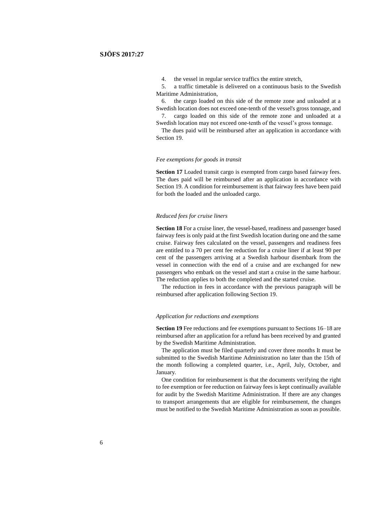4. the vessel in regular service traffics the entire stretch,

5. a traffic timetable is delivered on a continuous basis to the Swedish Maritime Administration,

6. the cargo loaded on this side of the remote zone and unloaded at a Swedish location does not exceed one-tenth of the vessel's gross tonnage, and 7. cargo loaded on this side of the remote zone and unloaded at a Swedish location may not exceed one-tenth of the vessel's gross tonnage.

The dues paid will be reimbursed after an application in accordance with Section 19.

#### *Fee exemptions for goods in transit*

**Section 17** Loaded transit cargo is exempted from cargo based fairway fees. The dues paid will be reimbursed after an application in accordance with Section 19. A condition for reimbursement is that fairway fees have been paid for both the loaded and the unloaded cargo.

#### *Reduced fees for cruise liners*

**Section 18** For a cruise liner, the vessel-based, readiness and passenger based fairway fees is only paid at the first Swedish location during one and the same cruise. Fairway fees calculated on the vessel, passengers and readiness fees are entitled to a 70 per cent fee reduction for a cruise liner if at least 90 per cent of the passengers arriving at a Swedish harbour disembark from the vessel in connection with the end of a cruise and are exchanged for new passengers who embark on the vessel and start a cruise in the same harbour. The reduction applies to both the completed and the started cruise.

The reduction in fees in accordance with the previous paragraph will be reimbursed after application following Section 19.

#### *Application for reductions and exemptions*

**Section 19** Fee reductions and fee exemptions pursuant to Sections 16–18 are reimbursed after an application for a refund has been received by and granted by the Swedish Maritime Administration.

The application must be filed quarterly and cover three months It must be submitted to the Swedish Maritime Administration no later than the 15th of the month following a completed quarter, i.e., April, July, October, and January.

One condition for reimbursement is that the documents verifying the right to fee exemption or fee reduction on fairway fees is kept continually available for audit by the Swedish Maritime Administration. If there are any changes to transport arrangements that are eligible for reimbursement, the changes must be notified to the Swedish Maritime Administration as soon as possible.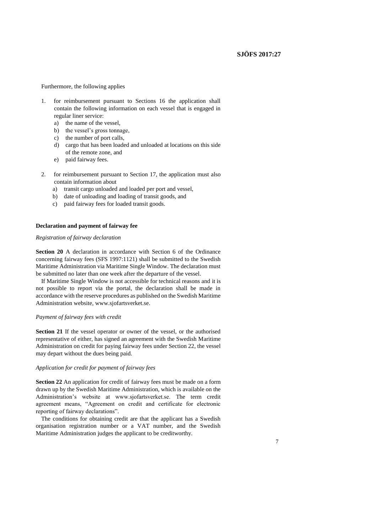Furthermore, the following applies

- 1. for reimbursement pursuant to Sections 16 the application shall contain the following information on each vessel that is engaged in regular liner service:
	- a) the name of the vessel,
	- b) the vessel's gross tonnage,
	- c) the number of port calls,
	- d) cargo that has been loaded and unloaded at locations on this side of the remote zone, and
	- e) paid fairway fees.
- 2. for reimbursement pursuant to Section 17, the application must also contain information about
	- a) transit cargo unloaded and loaded per port and vessel,
	- b) date of unloading and loading of transit goods, and
	- c) paid fairway fees for loaded transit goods.

#### **Declaration and payment of fairway fee**

### *Registration of fairway declaration*

**Section 20** A declaration in accordance with Section 6 of the Ordinance concerning fairway fees (SFS 1997:1121) shall be submitted to the Swedish Maritime Administration via Maritime Single Window. The declaration must be submitted no later than one week after the departure of the vessel.

If Maritime Single Window is not accessible for technical reasons and it is not possible to report via the portal, the declaration shall be made in accordance with the reserve procedures as published on the Swedish Maritime Administration website, www.sjofartsverket.se.

#### *Payment of fairway fees with credit*

**Section 21** If the vessel operator or owner of the vessel, or the authorised representative of either, has signed an agreement with the Swedish Maritime Administration on credit for paying fairway fees under Section 22, the vessel may depart without the dues being paid.

#### *Application for credit for payment of fairway fees*

**Section 22** An application for credit of fairway fees must be made on a form drawn up by the Swedish Maritime Administration, which is available on the Administration's website at www.sjofartsverket.se. The term credit agreement means, "Agreement on credit and certificate for electronic reporting of fairway declarations".

The conditions for obtaining credit are that the applicant has a Swedish organisation registration number or a VAT number, and the Swedish Maritime Administration judges the applicant to be creditworthy.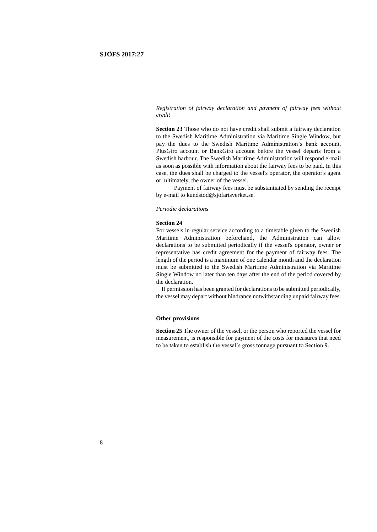*Registration of fairway declaration and payment of fairway fees without credit*

**Section 23** Those who do not have credit shall submit a fairway declaration to the Swedish Maritime Administration via Maritime Single Window, but pay the dues to the Swedish Maritime Administration's bank account, PlusGiro account or BankGiro account before the vessel departs from a Swedish harbour. The Swedish Maritime Administration will respond e-mail as soon as possible with information about the fairway fees to be paid. In this case, the dues shall be charged to the vessel's operator, the operator's agent or, ultimately, the owner of the vessel.

Payment of fairway fees must be substantiated by sending the receipt by e-mail to kundstod@sjofartsverket.se.

#### *Periodic declarations*

#### **Section 24**

For vessels in regular service according to a timetable given to the Swedish Maritime Administration beforehand, the Administration can allow declarations to be submitted periodically if the vessel's operator, owner or representative has credit agreement for the payment of fairway fees. The length of the period is a maximum of one calendar month and the declaration must be submitted to the Swedish Maritime Administration via Maritime Single Window no later than ten days after the end of the period covered by the declaration.

If permission has been granted for declarations to be submitted periodically, the vessel may depart without hindrance notwithstanding unpaid fairway fees.

#### **Other provisions**

**Section 25** The owner of the vessel, or the person who reported the vessel for measurement, is responsible for payment of the costs for measures that need to be taken to establish the vessel's gross tonnage pursuant to Section 9.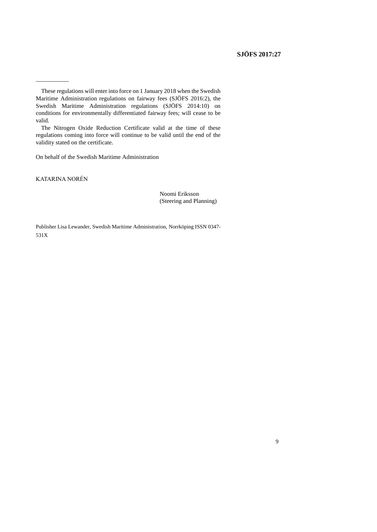The Nitrogen Oxide Reduction Certificate valid at the time of these regulations coming into force will continue to be valid until the end of the validity stated on the certificate.

On behalf of the Swedish Maritime Administration

KATARINA NORÉN

 $\overline{\phantom{a}}$ 

Noomi Eriksson (Steering and Planning)

Publisher Lisa Lewander, Swedish Maritime Administration, Norrköping ISSN 0347- 531X

These regulations will enter into force on 1 January 2018 when the Swedish Maritime Administration regulations on fairway fees (SJÖFS 2016:2), the Swedish Maritime Administration regulations (SJÖFS 2014:10) on conditions for environmentally differentiated fairway fees; will cease to be valid.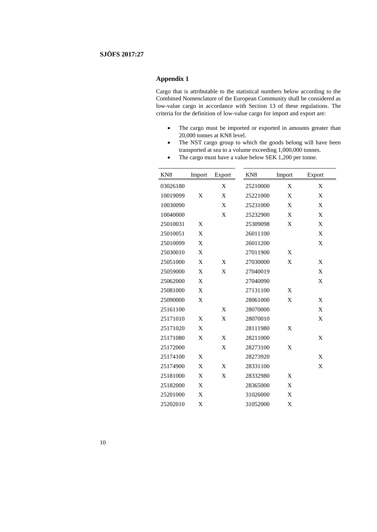### **Appendix 1**

Cargo that is attributable to the statistical numbers below according to the Combined Nomenclature of the European Community shall be considered as low-value cargo in accordance with Section 13 of these regulations. The criteria for the definition of low-value cargo for import and export are:

- The cargo must be imported or exported in amounts greater than 20,000 tonnes at KN8 level.
- The NST cargo group to which the goods belong will have been transported at sea to a volume exceeding 1,000,000 tonnes.
- The cargo must have a value below SEK 1,200 per tonne.

| KN <sub>8</sub> | Import | Export | KN <sub>8</sub> | Import | Export |
|-----------------|--------|--------|-----------------|--------|--------|
| 03026180        |        | X      | 25210000        | X      | X      |
| 10019099        | X      | X      | 25221000        | X      | X      |
| 10030090        |        | X      | 25231000        | X      | X      |
| 10040000        |        | X      | 25232900        | X      | X      |
| 25010031        | X      |        | 25309098        | X      | X      |
| 25010051        | X      |        | 26011100        |        | X      |
| 25010099        | X      |        | 26011200        |        | X      |
| 25030010        | X      |        | 27011900        | X      |        |
| 25051000        | X      | X      | 27030000        | X      | X      |
| 25059000        | X      | X      | 27040019        |        | X      |
| 25062000        | X      |        | 27040090        |        | X      |
| 25081000        | X      |        | 27131100        | X      |        |
| 25090000        | X      |        | 28061000        | X      | X      |
| 25161100        |        | X      | 28070000        |        | X      |
| 25171010        | X      | X      | 28070010        |        | X      |
| 25171020        | X      |        | 28111980        | X      |        |
| 25171080        | X      | X      | 28211000        |        | X      |
| 25172000        |        | X      | 28273100        | X      |        |
| 25174100        | X      |        | 28273920        |        | X      |
| 25174900        | X      | X      | 28331100        |        | X      |
| 25181000        | X      | X      | 28332980        | X      |        |
| 25182000        | X      |        | 28365000        | X      |        |
| 25201000        | X      |        | 31026000        | X      |        |
| 25202010        | X      |        | 31052000        | X      |        |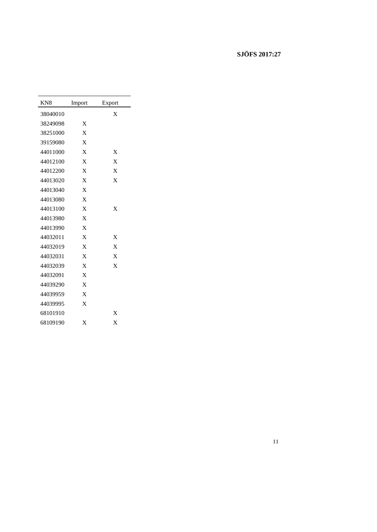| KN <sub>8</sub> | Import       | Export       |
|-----------------|--------------|--------------|
| 38040010        |              | X            |
| 38249098        | $\mathbf x$  |              |
| 38251000        | $\mathbf{x}$ |              |
| 39159080        | $\mathbf{x}$ |              |
| 44011000        | $\mathbf{X}$ | $\mathbf x$  |
| 44012100        | X            | X            |
| 44012200        | $\mathbf{x}$ | $\mathbf x$  |
| 44013020        | $\mathbf{x}$ | X            |
| 44013040        | $\mathbf{x}$ |              |
| 44013080        | $\mathbf{x}$ |              |
| 44013100        | $\mathbf{x}$ | X            |
| 44013980        | $\mathbf{x}$ |              |
| 44013990        | $\mathbf{x}$ |              |
| 44032011        | $\mathbf{X}$ | X            |
| 44032019        | $\mathbf{x}$ | $\mathbf{x}$ |
| 44032031        | $\mathbf{x}$ | $\mathbf{X}$ |
| 44032039        | X            | X            |
| 44032091        | X            |              |
| 44039290        | X            |              |
| 44039959        | X            |              |
| 44039995        | X            |              |
| 68101910        |              | $\mathbf x$  |
| 68109190        | $\mathbf x$  | $\mathbf x$  |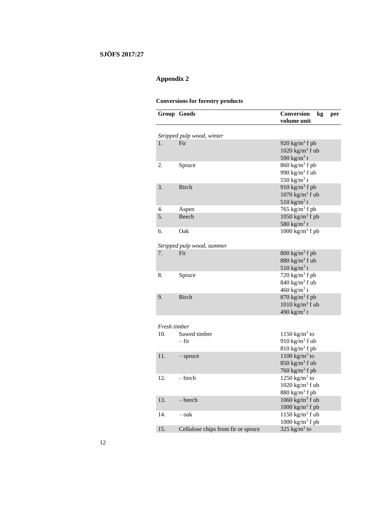# **Appendix 2**

## **Conversions for forestry products**

|              | Group Goods                        | Conversion<br>kg<br>per<br>volume unit |
|--------------|------------------------------------|----------------------------------------|
|              |                                    |                                        |
|              | Stripped pulp wood, winter<br>Fir  |                                        |
| 1.           |                                    | 920 $\text{kg/m}^3$ f pb               |
|              |                                    | $1020 \text{ kg/m}^3 \text{ f}$ ub     |
|              |                                    | 590 kg/m <sup>3</sup> t                |
| 2.           | Spruce                             | $860 \text{ kg/m}^3$ f pb              |
|              |                                    | 990 $\text{kg/m}^3$ f ub               |
|              |                                    | 550 kg/m <sup>3</sup> t                |
| 3.           | <b>Birch</b>                       | 910 $\text{kg/m}^3$ f pb               |
|              |                                    | $1070$ kg/m <sup>3</sup> f ub          |
|              |                                    | 510 kg/m <sup>3</sup> t                |
| 4.           | Aspen                              | 765 kg/m <sup>3</sup> f pb             |
| 5.           | Beech                              | 1050 kg/m <sup>3</sup> f pb            |
|              |                                    | 580 kg/m <sup>3</sup> t                |
| 6.           | Oak                                | $1000 \text{ kg/m}^3$ f pb             |
|              |                                    |                                        |
|              | Stripped pulp wood, summer         |                                        |
| 7.           | Fir                                | $800 \text{ kg/m}^3$ f pb              |
|              |                                    | $880 \text{ kg/m}^3$ f ub              |
|              |                                    | 510 kg/m <sup>3</sup> t                |
| 8.           | Spruce                             | 720 $\text{kg/m}^3$ f pb               |
|              |                                    | $840$ kg/m <sup>3</sup> f ub           |
|              |                                    | 460 kg/m <sup>3</sup> t                |
| 9.           | <b>Birch</b>                       | $870 \text{ kg/m}^3$ f pb              |
|              |                                    | $1010$ kg/m <sup>3</sup> f ub          |
|              |                                    | 490 kg/m <sup>3</sup> t                |
|              |                                    |                                        |
| Fresh timber |                                    |                                        |
| 10.          | Sawed timber                       | 1150 kg/m <sup>3</sup> to              |
|              | – fir                              | 910 $\text{kg/m}^3$ f ub               |
|              |                                    | $810 \text{ kg/m}^3$ f pb              |
| 11.          | $-$ spruce                         | $1100 \text{ kg/m}^3$ to               |
|              |                                    | $850 \text{ kg/m}^3$ f ub              |
|              |                                    |                                        |
|              |                                    | 760 $\text{kg/m}^3$ f pb               |
| 12.          | $-$ birch                          | $1250$ kg/m <sup>3</sup> to            |
|              |                                    | $1020$ kg/m <sup>3</sup> f ub          |
|              |                                    | $880$ kg/m <sup>3</sup> f pb           |
| 13.          | – beech                            | 1060 kg/m <sup>3</sup> f ub            |
|              |                                    | $1000$ kg/m <sup>3</sup> f pb          |
| 14.          | – oak                              | $1150$ kg/m <sup>3</sup> f ub          |
|              |                                    | $1000~{\rm kg/m^3}$ f pb               |
| 15.          | Cellulose chips from fir or spruce | 325 kg/m <sup>3</sup> to               |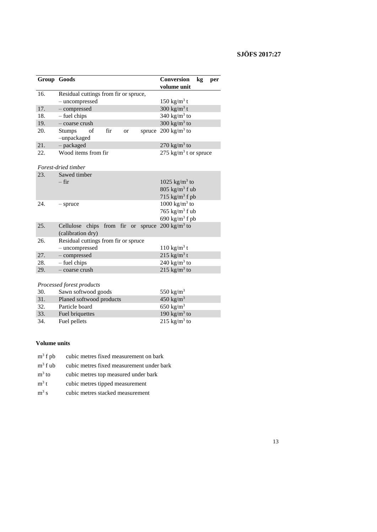|                                             | Group Goods                                               | Conversion<br>kg<br>per            |  |  |  |
|---------------------------------------------|-----------------------------------------------------------|------------------------------------|--|--|--|
|                                             |                                                           | volume unit                        |  |  |  |
| 16.                                         | Residual cuttings from fir or spruce,                     |                                    |  |  |  |
|                                             | - uncompressed                                            | $150 \text{ kg/m}^3$ t             |  |  |  |
| 17.                                         | - compressed                                              | 300 kg/m <sup>3</sup> t            |  |  |  |
| 18.                                         | - fuel chips                                              | 340 kg/ $m^3$ to                   |  |  |  |
| 19.                                         | - coarse crush                                            | 300 kg/ $m^3$ to                   |  |  |  |
| 20.                                         | fir<br><b>Stumps</b><br>of<br>spruce<br>or<br>-unpackaged | $200 \text{ kg/m}^3$ to            |  |  |  |
| 21.                                         | - packaged                                                | $270 \text{ kg/m}^3$ to            |  |  |  |
| 22.                                         | Wood items from fir                                       | 275 kg/m <sup>3</sup> t or spruce  |  |  |  |
|                                             |                                                           |                                    |  |  |  |
|                                             | Forest-dried timber                                       |                                    |  |  |  |
| 23.                                         | Sawed timber                                              |                                    |  |  |  |
|                                             | $-$ fir                                                   | 1025 kg/ $m^3$ to                  |  |  |  |
|                                             |                                                           | $805 \text{ kg/m}^3 \text{ f }$ ub |  |  |  |
|                                             |                                                           | 715 $kg/m^3$ f pb                  |  |  |  |
| 24.                                         | $-$ spruce                                                | $1000 \text{ kg/m}^3$ to           |  |  |  |
|                                             |                                                           | 765 $kg/m3$ f ub                   |  |  |  |
|                                             |                                                           | 690 kg/m <sup>3</sup> f pb         |  |  |  |
| 25.                                         | chips from fir or spruce<br>Cellulose                     | 200 kg/m <sup>3</sup> to           |  |  |  |
|                                             | (calibration dry)                                         |                                    |  |  |  |
| Residual cuttings from fir or spruce<br>26. |                                                           |                                    |  |  |  |
|                                             | - uncompressed                                            | $110 \text{ kg/m}^3$ t             |  |  |  |
| 27.                                         | - compressed                                              | $215 \text{ kg/m}^3$ t             |  |  |  |
| 28.                                         | - fuel chips                                              | 240 kg/m <sup>3</sup> to           |  |  |  |
| 29.                                         | - coarse crush                                            | 215 kg/m <sup>3</sup> to           |  |  |  |
|                                             |                                                           |                                    |  |  |  |
|                                             | Processed forest products                                 |                                    |  |  |  |
| 30.                                         | Sawn softwood goods                                       | 550 kg/m <sup>3</sup>              |  |  |  |
| 31.                                         | Planed softwood products                                  | $450 \text{ kg/m}^3$               |  |  |  |
| 32.                                         | Particle board                                            | 650 kg/ $m^3$                      |  |  |  |
| 33.                                         | Fuel briquettes                                           | 190 kg/m <sup>3</sup> to           |  |  |  |
| 34.                                         | Fuel pellets                                              | 215 kg/m <sup>3</sup> to           |  |  |  |

### **Volume units**

- $\mathrm{m}^3$ f pb cubic metres fixed measurement on bark
- $m^3$  f ub cubic metres fixed measurement under bark
- $m<sup>3</sup>$  to cubic metres top measured under bark
- $\mathrm{m}^3$ t cubic metres tipped measurement
- $m^3$  s cubic metres stacked measurement